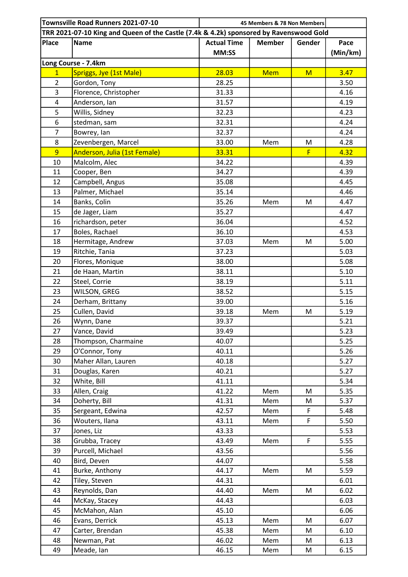| Townsville Road Runners 2021-07-10<br>45 Members & 78 Non Members |                                                                                        |                    |               |             |          |
|-------------------------------------------------------------------|----------------------------------------------------------------------------------------|--------------------|---------------|-------------|----------|
|                                                                   | TRR 2021-07-10 King and Queen of the Castle (7.4k & 4.2k) sponsored by Ravenswood Gold |                    |               |             |          |
| Place                                                             | <b>Name</b>                                                                            | <b>Actual Time</b> | <b>Member</b> | Gender      | Pace     |
|                                                                   |                                                                                        | MM:SS              |               |             | (Min/km) |
|                                                                   | Long Course - 7.4km                                                                    |                    |               |             |          |
| $\mathbf{1}$                                                      | Spriggs, Jye (1st Male)                                                                | 28.03              | <b>Mem</b>    | M           | 3.47     |
| $\overline{2}$                                                    | Gordon, Tony                                                                           | 28.25              |               |             | 3.50     |
| 3                                                                 | Florence, Christopher                                                                  | 31.33              |               |             | 4.16     |
| 4                                                                 | Anderson, Ian                                                                          | 31.57              |               |             | 4.19     |
| 5                                                                 | Willis, Sidney                                                                         | 32.23              |               |             | 4.23     |
| 6                                                                 | stedman, sam                                                                           | 32.31              |               |             | 4.24     |
| $\overline{7}$                                                    | Bowrey, lan                                                                            | 32.37              |               |             | 4.24     |
| 8                                                                 | Zevenbergen, Marcel                                                                    | 33.00              | Mem           | М           | 4.28     |
| 9 <sup>°</sup>                                                    | Anderson, Julia (1st Female)                                                           | 33.31              |               | F           | 4.32     |
| 10                                                                | Malcolm, Alec                                                                          | 34.22              |               |             | 4.39     |
| 11                                                                | Cooper, Ben                                                                            | 34.27              |               |             | 4.39     |
| 12                                                                | Campbell, Angus                                                                        | 35.08              |               |             | 4.45     |
| 13                                                                | Palmer, Michael                                                                        | 35.14              |               |             | 4.46     |
| 14                                                                | Banks, Colin                                                                           | 35.26              | Mem           | M           | 4.47     |
| 15                                                                | de Jager, Liam                                                                         | 35.27              |               |             | 4.47     |
| 16                                                                | richardson, peter                                                                      | 36.04              |               |             | 4.52     |
| 17                                                                | Boles, Rachael                                                                         | 36.10              |               |             | 4.53     |
| 18                                                                | Hermitage, Andrew                                                                      | 37.03              | Mem           | M           | 5.00     |
| 19                                                                | Ritchie, Tania                                                                         | 37.23              |               |             | 5.03     |
| 20                                                                | Flores, Monique                                                                        | 38.00              |               |             | 5.08     |
| 21                                                                | de Haan, Martin                                                                        | 38.11              |               |             | 5.10     |
| 22                                                                | Steel, Corrie                                                                          | 38.19              |               |             | 5.11     |
| 23                                                                | WILSON, GREG                                                                           | 38.52              |               |             | 5.15     |
| 24                                                                | Derham, Brittany                                                                       | 39.00              |               |             | 5.16     |
| 25                                                                | Cullen, David                                                                          | 39.18              | Mem           | M           | 5.19     |
| 26                                                                | Wynn, Dane                                                                             | 39.37              |               |             | 5.21     |
| 27                                                                | Vance, David                                                                           | 39.49              |               |             | 5.23     |
| 28                                                                | Thompson, Charmaine                                                                    | 40.07              |               |             | 5.25     |
| 29                                                                | O'Connor, Tony                                                                         | 40.11              |               |             | 5.26     |
| 30                                                                | Maher Allan, Lauren                                                                    | 40.18              |               |             | 5.27     |
| 31                                                                | Douglas, Karen                                                                         | 40.21              |               |             | 5.27     |
| 32                                                                | White, Bill                                                                            | 41.11              |               |             | 5.34     |
| 33                                                                | Allen, Craig                                                                           | 41.22              | Mem           | M           | 5.35     |
| 34                                                                | Doherty, Bill                                                                          | 41.31              | Mem           | M           | 5.37     |
| 35                                                                | Sergeant, Edwina                                                                       | 42.57              | Mem           | F           | 5.48     |
| 36                                                                | Wouters, Ilana                                                                         | 43.11              | Mem           | $\mathsf F$ | 5.50     |
| 37                                                                | Jones, Liz                                                                             | 43.33              |               |             | 5.53     |
| 38                                                                | Grubba, Tracey                                                                         | 43.49              | Mem           | F           | 5.55     |
| 39                                                                | Purcell, Michael                                                                       | 43.56              |               |             | 5.56     |
| 40                                                                | Bird, Deven                                                                            | 44.07              |               |             | 5.58     |
| 41                                                                | Burke, Anthony                                                                         | 44.17              | Mem           | M           | 5.59     |
| 42                                                                | Tiley, Steven                                                                          | 44.31              |               |             | 6.01     |
| 43                                                                | Reynolds, Dan                                                                          | 44.40              | Mem           | M           | 6.02     |
| 44                                                                | McKay, Stacey                                                                          | 44.43              |               |             | 6.03     |
| 45                                                                | McMahon, Alan                                                                          | 45.10              |               |             | 6.06     |
| 46                                                                | Evans, Derrick                                                                         | 45.13              | Mem           | M           | 6.07     |
| 47                                                                | Carter, Brendan                                                                        | 45.38              | Mem           | M           | 6.10     |
| 48                                                                | Newman, Pat                                                                            | 46.02              | Mem           | M           | 6.13     |
| 49                                                                | Meade, Ian                                                                             | 46.15              | Mem           | M           | 6.15     |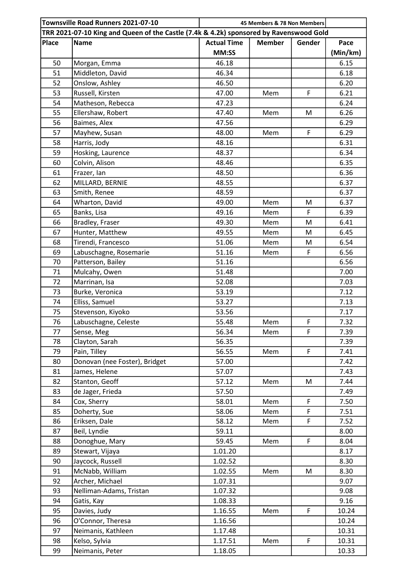| Townsville Road Runners 2021-07-10<br>45 Members & 78 Non Members                      |                               |                    |               |        |          |
|----------------------------------------------------------------------------------------|-------------------------------|--------------------|---------------|--------|----------|
| TRR 2021-07-10 King and Queen of the Castle (7.4k & 4.2k) sponsored by Ravenswood Gold |                               |                    |               |        |          |
| Place                                                                                  | <b>Name</b>                   | <b>Actual Time</b> | <b>Member</b> | Gender | Pace     |
|                                                                                        |                               | MM:SS              |               |        | (Min/km) |
| 50                                                                                     | Morgan, Emma                  | 46.18              |               |        | 6.15     |
| 51                                                                                     | Middleton, David              | 46.34              |               |        | 6.18     |
| 52                                                                                     | Onslow, Ashley                | 46.50              |               |        | 6.20     |
| 53                                                                                     | Russell, Kirsten              | 47.00              | Mem           | F      | 6.21     |
| 54                                                                                     | Matheson, Rebecca             | 47.23              |               |        | 6.24     |
| 55                                                                                     | Ellershaw, Robert             | 47.40              | Mem           | M      | 6.26     |
| 56                                                                                     | Baimes, Alex                  | 47.56              |               |        | 6.29     |
| 57                                                                                     | Mayhew, Susan                 | 48.00              | Mem           | F      | 6.29     |
| 58                                                                                     | Harris, Jody                  | 48.16              |               |        | 6.31     |
| 59                                                                                     | Hosking, Laurence             | 48.37              |               |        | 6.34     |
| 60                                                                                     | Colvin, Alison                | 48.46              |               |        | 6.35     |
| 61                                                                                     | Frazer, Ian                   | 48.50              |               |        | 6.36     |
| 62                                                                                     | MILLARD, BERNIE               | 48.55              |               |        | 6.37     |
| 63                                                                                     | Smith, Renee                  | 48.59              |               |        | 6.37     |
| 64                                                                                     | Wharton, David                | 49.00              | Mem           | M      | 6.37     |
| 65                                                                                     | Banks, Lisa                   | 49.16              | Mem           | F      | 6.39     |
| 66                                                                                     | Bradley, Fraser               | 49.30              | Mem           | M      | 6.41     |
| 67                                                                                     | Hunter, Matthew               | 49.55              | Mem           | М      | 6.45     |
| 68                                                                                     | Tirendi, Francesco            | 51.06              | Mem           | M      | 6.54     |
| 69                                                                                     | Labuschagne, Rosemarie        | 51.16              | Mem           | F      | 6.56     |
| 70                                                                                     | Patterson, Bailey             | 51.16              |               |        | 6.56     |
| 71                                                                                     | Mulcahy, Owen                 | 51.48              |               |        | 7.00     |
| 72                                                                                     | Marrinan, Isa                 | 52.08              |               |        | 7.03     |
| 73                                                                                     | Burke, Veronica               | 53.19              |               |        | 7.12     |
| 74                                                                                     | Elliss, Samuel                | 53.27              |               |        | 7.13     |
| 75                                                                                     | Stevenson, Kiyoko             | 53.56              |               |        | 7.17     |
| 76                                                                                     | Labuschagne, Celeste          | 55.48              | Mem           | F      | 7.32     |
| 77                                                                                     | Sense, Meg                    | 56.34              | Mem           | F      | 7.39     |
| 78                                                                                     | Clayton, Sarah                | 56.35              |               |        | 7.39     |
| 79                                                                                     | Pain, Tilley                  | 56.55              | Mem           | F      | 7.41     |
| 80                                                                                     | Donovan (nee Foster), Bridget | 57.00              |               |        | 7.42     |
| 81                                                                                     | James, Helene                 | 57.07              |               |        | 7.43     |
| 82                                                                                     | Stanton, Geoff                | 57.12              | Mem           | M      | 7.44     |
| 83                                                                                     | de Jager, Frieda              | 57.50              |               |        | 7.49     |
| 84                                                                                     | Cox, Sherry                   | 58.01              | Mem           | F      | 7.50     |
| 85                                                                                     | Doherty, Sue                  | 58.06              | Mem           | F      | 7.51     |
| 86                                                                                     | Eriksen, Dale                 | 58.12              | Mem           | F      | 7.52     |
| 87                                                                                     | Beil, Lyndie                  | 59.11              |               |        | 8.00     |
| 88                                                                                     | Donoghue, Mary                | 59.45              | Mem           | F      | 8.04     |
| 89                                                                                     | Stewart, Vijaya               | 1.01.20            |               |        | 8.17     |
| 90                                                                                     | Jaycock, Russell              | 1.02.52            |               |        | 8.30     |
| 91                                                                                     | McNabb, William               | 1.02.55            | Mem           | M      | 8.30     |
| 92                                                                                     | Archer, Michael               | 1.07.31            |               |        | 9.07     |
| 93                                                                                     | Nelliman-Adams, Tristan       | 1.07.32            |               |        | 9.08     |
| 94                                                                                     | Gatis, Kay                    | 1.08.33            |               |        | 9.16     |
| 95                                                                                     | Davies, Judy                  | 1.16.55            | Mem           | F      | 10.24    |
| 96                                                                                     | O'Connor, Theresa             | 1.16.56            |               |        | 10.24    |
| 97                                                                                     | Neimanis, Kathleen            | 1.17.48            |               |        | 10.31    |
| 98                                                                                     | Kelso, Sylvia                 | 1.17.51            | Mem           | F      | 10.31    |
| 99                                                                                     | Neimanis, Peter               | 1.18.05            |               |        | 10.33    |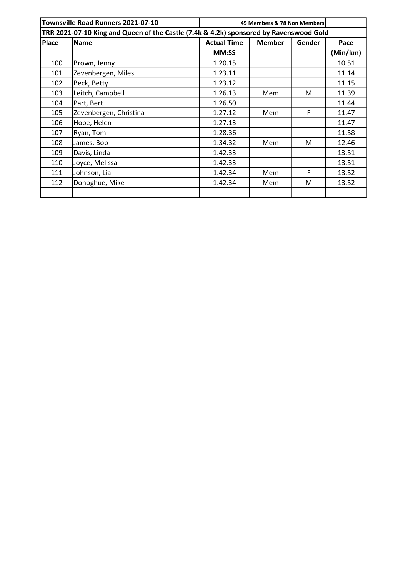| Townsville Road Runners 2021-07-10                                                     |                        | 45 Members & 78 Non Members |               |        |          |
|----------------------------------------------------------------------------------------|------------------------|-----------------------------|---------------|--------|----------|
| TRR 2021-07-10 King and Queen of the Castle (7.4k & 4.2k) sponsored by Ravenswood Gold |                        |                             |               |        |          |
| Place                                                                                  | <b>Name</b>            | <b>Actual Time</b>          | <b>Member</b> | Gender | Pace     |
|                                                                                        |                        | <b>MM:SS</b>                |               |        | (Min/km) |
| 100                                                                                    | Brown, Jenny           | 1.20.15                     |               |        | 10.51    |
| 101                                                                                    | Zevenbergen, Miles     | 1.23.11                     |               |        | 11.14    |
| 102                                                                                    | Beck, Betty            | 1.23.12                     |               |        | 11.15    |
| 103                                                                                    | Leitch, Campbell       | 1.26.13                     | Mem           | M      | 11.39    |
| 104                                                                                    | Part, Bert             | 1.26.50                     |               |        | 11.44    |
| 105                                                                                    | Zevenbergen, Christina | 1.27.12                     | Mem           | F      | 11.47    |
| 106                                                                                    | Hope, Helen            | 1.27.13                     |               |        | 11.47    |
| 107                                                                                    | Ryan, Tom              | 1.28.36                     |               |        | 11.58    |
| 108                                                                                    | James, Bob             | 1.34.32                     | Mem           | М      | 12.46    |
| 109                                                                                    | Davis, Linda           | 1.42.33                     |               |        | 13.51    |
| 110                                                                                    | Joyce, Melissa         | 1.42.33                     |               |        | 13.51    |
| 111                                                                                    | Johnson, Lia           | 1.42.34                     | Mem           | F      | 13.52    |
| 112                                                                                    | Donoghue, Mike         | 1.42.34                     | Mem           | M      | 13.52    |
|                                                                                        |                        |                             |               |        |          |